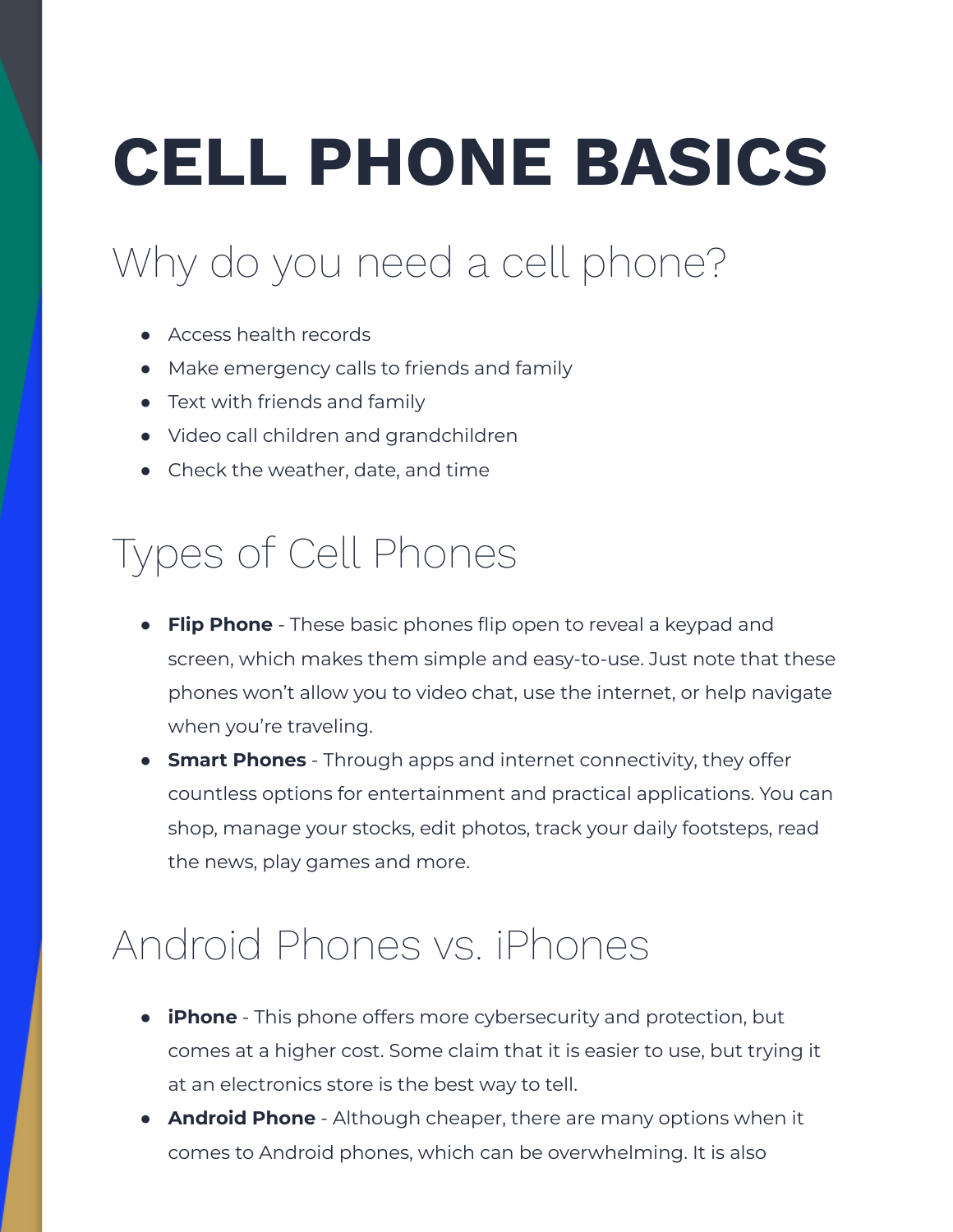# **CELL PHONE BASICS**

## Why do you need a cell phone?

- Access health records
- Make emergency calls to friends and family
- Text with friends and family
- Video call children and grandchildren
- Check the weather, date, and time

#### Types of Cell Phones

- **Flip Phone** These basic phones flip open to reveal a keypad and screen, which makes them simple and easy-to-use. Just note that these phones won't allow you to video chat, use the internet, or help navigate when you're traveling.
- **Smart Phones** Through apps and internet connectivity, they offer countless options for entertainment and practical applications. You can shop, manage your stocks, edit photos, track your daily footsteps, read the news, play games and more.

### Android Phones vs. iPhones

- **iPhone** This phone offers more cybersecurity and protection, but comes at a higher cost. Some claim that it is easier to use, but trying it at an electronics store is the best way to tell.
- **● Android Phone** Although cheaper, there are many options when it comes to Android phones, which can be overwhelming. It is also